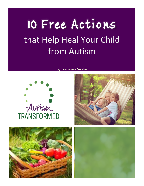# 10 Free Actions that Help Heal Your Child from Autism

#### by Luminara Serdar







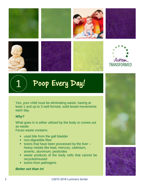



## Poop Every Day!

Yes, your child must be eliminating waste, having at least 1 and up to 3 well-formed, solid bowel movements each day.

### *Why?*  T

1

What goes in is either utilized by the body or comes out as waste.

as waste.<br>Feces waste contains:

- used bile from the gall bladder
- non-digestible fiber
- toxins that have been processed by the liver heavy metals like lead, mercury, cadmium, arsenic, aluminum, pesticides arsenic, aluminum, pesticides<br>
vaste products of the body cells that cannot be
- recycled/reused recycled/reused<br>• toxins from pathogens
	-

### **Better out than in!**



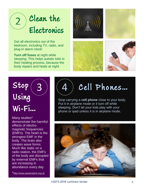### Clean the Electronics 2

plug-in alarm clock!<br>Turn off fuese et ai Get all electronics out of the bedroom, including TV, radio, and

ur sleeping. This helps autistic kids in n body repairs and heals at night. **Turn off fuses** at night while their healing process, because the





#### $2 +$ ro Js  $\boldsymbol{\Omega}$  $\overline{\phantom{a}}$ Using Wi-Fi…  $\overline{3}$  ) (4

e

Many studies\* demonstrate the harmful effects of electromagnetic frequencies (EMFs). The heart is the strongest EMF in the body. The brain also creates wave forms. Much like static on a radio station, the EMFs of the body are disrupted by external EMFs that are increasing in abundance every day.

\*[http://www.powerwatch.org.uk](http://www.powerwatch.org.uk/science/studies.asp)

## Cell Phones...

Stop carrying a **cell phone** close to your body. Put it in airplane mode or it turn off while sleeping. Don't let your kids play with your phone or ipad unless it is in airplane mode.

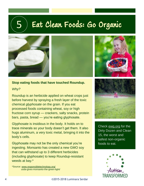### Eat Clean Foods: Go Organic







#### **Stop eating foods that have touched Roundup.**

#### *Why?*

Roundup is an herbicide applied on wheat crops just before harvest by spraying a fresh layer of the toxic chemical *glyphosate* on the grain. If you eat processed foods containing wheat, soy or high fructose corn syrup — crackers, salty snacks, protein bars, pasta, bread — you're eating glyphosate.

Glyphosate is insidious in the body. It holds on to trace minerals so your body doesn't get them. It also hugs aluminum, a very toxic metal, bringing it into the body's cells.

Glyphosate may not be the only chemical you're ingesting. Monsanto has created a new GMO soy that can withstand up to 3 different herbicides (including glyphosate) to keep Roundup-resistant weeds at bay.\*

\*Source: [www.responsibletechnology.org/](http://www.responsibletechnology.org/) usda-gives-monsanto-the-green-light/



Check [ewg.org](http://www.ewg.org/foodnews/?_ga=1.44172068.1005920075.1448390709) for the Dirty Dozen and Clean 15, the worst and safest non-organic foods to eat.



4 ©2015-2018 Luminara Serdar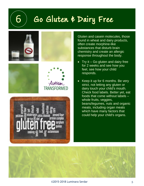### 6 Go Gluten & Dairy Free



Gluten and casein molecules, those found in wheat and dairy products, often create morphine-like substances that disturb brain chemistry and create an allergic response throughout the body.

- Try it  $-$  Go gluten and dairy free for 2 weeks and see how you feel, see how your child responds.
- Keep it up for 6 months. Be very strict, not letting any gluten or dairy touch your child's mouth. Check food labels. Better yet, eat foods that come without labels – whole fruits, veggies, beans/legumes, nuts and organic meats, including organ meats which have many factors that could help your child's organs.

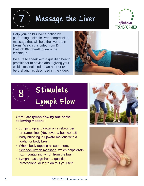Massage the Liver



Help your child's liver function by performing a simple liver compression massage that will help the liver drain toxins. Watch [this video](https://www.youtube.com/watch?v=7_RmmAS8WPE)) from Dr. Dietrich Klinghardt to learn the technique.

7

8

Be sure to speak with a qualified health practitioner to advise about giving your child intestinal binders an hour or two beforehand, as described in the video.



# Stimulate Lymph Flow

#### **Stimulate lymph flow by one of the following motions:**

- Jumping up and down on a rebounder or trampoline. (Hey, even a bed works!)
- Body brushing in upward motions with a loofah or body brush.
- Whole body tapping as seen [here.](https://www.youtube.com/watch?v=1398sgxSe0I)
- [Self neck lymph massage,](https://www.youtube.com/watch?v=geG2gAgfTmk) which helps drain toxin-containing lymph from the brain
- Lymph massage from a qualified professional or learn do to it yourself.



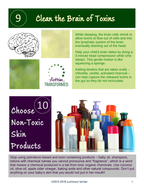### Clean the Brain of Toxins



9







While sleeping, the brain cells shrink to allow toxins to flow out of cells and into the lymphatic system of the brain, eventually draining out of the head.

Help your child's brain detox by doing a 3-minute head compression while s/he sleeps. This gentle motion is like squeezing a sponge.

Adding binders that are taken orally – chlorella, zeolite, activated charcoal – can help capture the released toxins in the gut so they do not recirculate.



Stop using petroleum based and toxin containing products – baby oil, shampoos, lotions with chemical names you cannot pronounce and "fragrance", which is a word that means a chemical produced in a lab from toxic organic chemicals. Use coconut oil, olive oil, apple cider vinegar, baking soda and other natural compounds. Don't put anything on your baby's skin that you would not put in her mouth!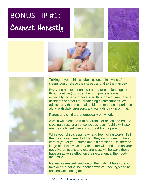## BONUS TIP #1: Connect Honestly











Talking to your child's subconscious mind while s/he sleeps could relieve their stress and allay their anxiety.

Everyone has experienced trauma or emotional upset throughout life (consider the birth process alone!), especially those who have lived through wartime, famine, accidents or other life-threatening circumstances. We adults carry the emotional residue from these experiences along with daily stressors, and our kids pick up on that.

Parent and child are energetically entwined.

A child will resonate with a parent's or ancestor's trauma, creating stress at an unconscious level. A child will also energetically feel love and support from a parent.

While your child sleeps, say (and feel) loving words. Tell them you love them. Tell them they do not need to take care of you or your stress and old emotions. Tell them to let go of all the ways they resonate with and take on your negative emotions and experiences. All the ways those have an adverse effect on their experience, their body, their mind.

Repeat as needed. And watch them shift. Make sure to take deep breaths, be in touch with your feelings and be relaxed while doing this.